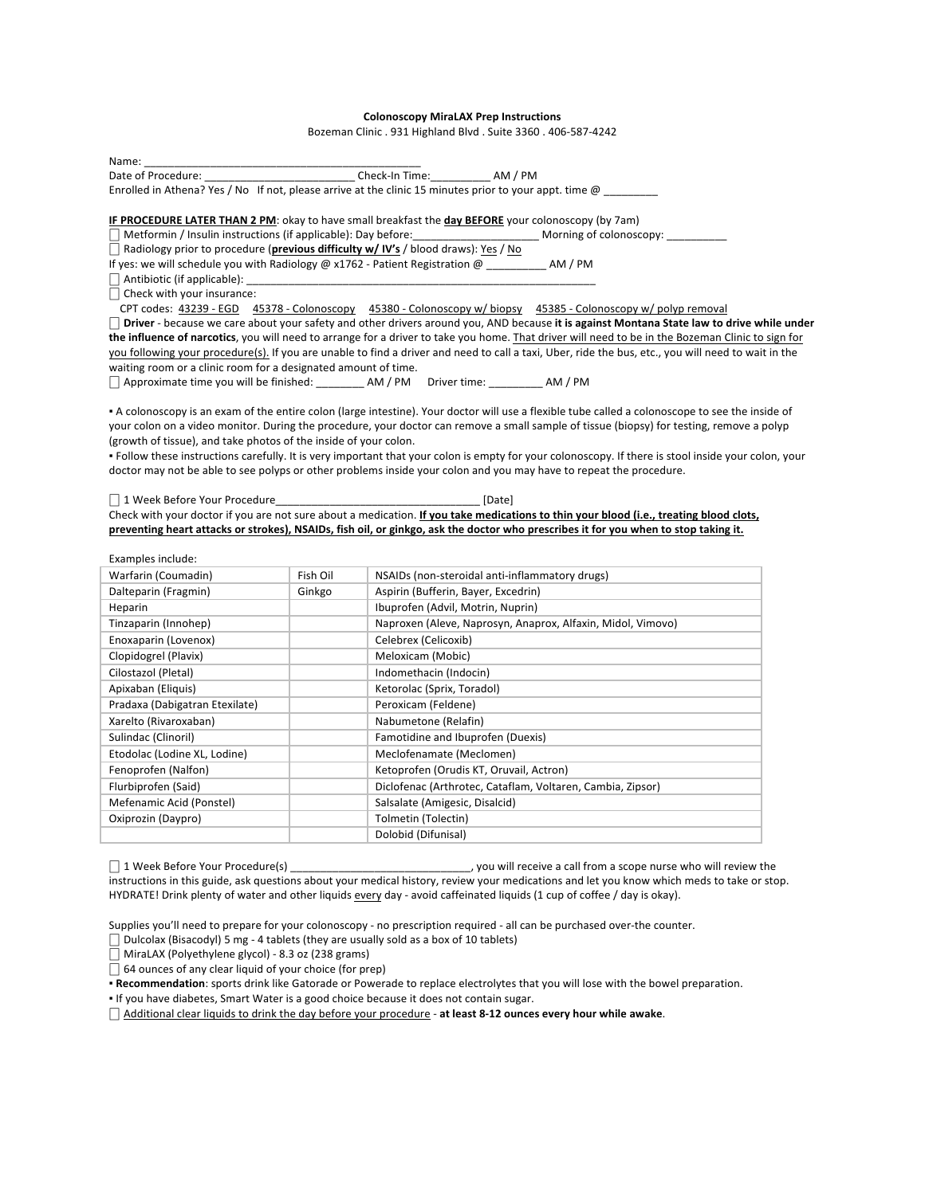## **Colonoscopy MiraLAX Prep Instructions**

Bozeman Clinic . 931 Highland Blvd . Suite 3360 . 406-587-4242

Name: \_\_\_\_\_\_\_\_\_\_\_\_\_\_\_\_\_\_\_\_\_\_\_\_\_\_\_\_\_\_\_\_\_\_\_\_\_\_\_\_\_\_\_\_\_\_ Date of Procedure: \_\_\_\_\_\_\_\_\_\_\_\_\_\_\_\_\_\_\_\_\_\_\_\_\_\_\_\_\_ Check-In Time: \_\_\_\_\_\_\_\_\_\_\_ AM / PM Enrolled in Athena? Yes / No If not, please arrive at the clinic 15 minutes prior to your appt. time  $@\_$ 

**IF PROCEDURE LATER THAN 2 PM:** okay to have small breakfast the day BEFORE your colonoscopy (by 7am)

- $\Box$  Metformin / Insulin instructions (if applicable): Day before:  $\Box$  Morning of colonoscopy:
- □ Radiology prior to procedure (**previous difficulty w/ IV's** / blood draws): Yes / No

If yes: we will schedule you with Radiology @ x1762 - Patient Registration @ \_\_\_\_\_\_\_\_\_\_ AM / PM

 $\Box$  Antibiotic (if applicable):  $\_$ 

 $\Box$  Check with your insurance:

CPT codes: 43239 - EGD 45378 - Colonoscopy 45380 - Colonoscopy w/ biopsy 45385 - Colonoscopy w/ polyp removal □ Driver - because we care about your safety and other drivers around you, AND because it is against Montana State law to drive while under the influence of narcotics, you will need to arrange for a driver to take you home. That driver will need to be in the Bozeman Clinic to sign for you following your procedure(s). If you are unable to find a driver and need to call a taxi, Uber, ride the bus, etc., you will need to wait in the waiting room or a clinic room for a designated amount of time.

□ Approximate time you will be finished: \_\_\_\_\_\_\_\_\_ AM / PM Driver time: \_\_\_\_\_\_\_\_\_ AM / PM

. A colonoscopy is an exam of the entire colon (large intestine). Your doctor will use a flexible tube called a colonoscope to see the inside of your colon on a video monitor. During the procedure, your doctor can remove a small sample of tissue (biopsy) for testing, remove a polyp (growth of tissue), and take photos of the inside of your colon.

· Follow these instructions carefully. It is very important that your colon is empty for your colonoscopy. If there is stool inside your colon, your doctor may not be able to see polyps or other problems inside your colon and you may have to repeat the procedure.

⎕ 1 Week Before Your Procedure\_\_\_\_\_\_\_\_\_\_\_\_\_\_\_\_\_\_\_\_\_\_\_\_\_\_\_\_\_\_\_\_\_\_ [Date] Check with your doctor if you are not sure about a medication. If you take medications to thin your blood (i.e., treating blood clots, preventing heart attacks or strokes), NSAIDs, fish oil, or ginkgo, ask the doctor who prescribes it for you when to stop taking it.

| Examples include:              |          |                                                             |
|--------------------------------|----------|-------------------------------------------------------------|
| Warfarin (Coumadin)            | Fish Oil | NSAIDs (non-steroidal anti-inflammatory drugs)              |
| Dalteparin (Fragmin)           | Ginkgo   | Aspirin (Bufferin, Bayer, Excedrin)                         |
| Heparin                        |          | Ibuprofen (Advil, Motrin, Nuprin)                           |
| Tinzaparin (Innohep)           |          | Naproxen (Aleve, Naprosyn, Anaprox, Alfaxin, Midol, Vimovo) |
| Enoxaparin (Lovenox)           |          | Celebrex (Celicoxib)                                        |
| Clopidogrel (Plavix)           |          | Meloxicam (Mobic)                                           |
| Cilostazol (Pletal)            |          | Indomethacin (Indocin)                                      |
| Apixaban (Eliquis)             |          | Ketorolac (Sprix, Toradol)                                  |
| Pradaxa (Dabigatran Etexilate) |          | Peroxicam (Feldene)                                         |
| Xarelto (Rivaroxaban)          |          | Nabumetone (Relafin)                                        |
| Sulindac (Clinoril)            |          | Famotidine and Ibuprofen (Duexis)                           |
| Etodolac (Lodine XL, Lodine)   |          | Meclofenamate (Meclomen)                                    |
| Fenoprofen (Nalfon)            |          | Ketoprofen (Orudis KT, Oruvail, Actron)                     |
| Flurbiprofen (Said)            |          | Diclofenac (Arthrotec, Cataflam, Voltaren, Cambia, Zipsor)  |
| Mefenamic Acid (Ponstel)       |          | Salsalate (Amigesic, Disalcid)                              |
| Oxiprozin (Daypro)             |          | Tolmetin (Tolectin)                                         |
|                                |          | Dolobid (Difunisal)                                         |

⎕ 1 Week Before Your Procedure(s) \_\_\_\_\_\_\_\_\_\_\_\_\_\_\_\_\_\_\_\_\_\_\_\_\_\_\_\_\_\_, you will receive a call from a scope nurse who will review the instructions in this guide, ask questions about your medical history, review your medications and let you know which meds to take or stop. HYDRATE! Drink plenty of water and other liquids every day - avoid caffeinated liquids (1 cup of coffee / day is okay).

Supplies you'll need to prepare for your colonoscopy - no prescription required - all can be purchased over-the counter.

 $\Box$  Dulcolax (Bisacodyl) 5 mg - 4 tablets (they are usually sold as a box of 10 tablets)

 $\Box$  MiraLAX (Polyethylene glycol) - 8.3 oz (238 grams)

 $\overline{\Box}$  64 ounces of any clear liquid of your choice (for prep)

. Recommendation: sports drink like Gatorade or Powerade to replace electrolytes that you will lose with the bowel preparation.

. If you have diabetes, Smart Water is a good choice because it does not contain sugar.

□ Additional clear liquids to drink the day before your procedure - at least 8-12 ounces every hour while awake.